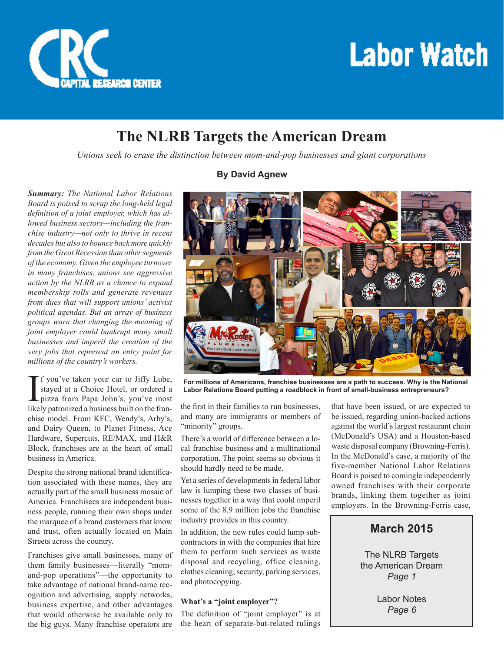

## **Labor Watch**

## **The NLRB Targets the American Dream**

*Unions seek to erase the distinction between mom-and-pop businesses and giant corporations*

*Summary: The National Labor Relations Board is poised to scrap the long-held legal definition of a joint employer, which has allowed business sectors—including the franchise industry—not only to thrive in recent decades but also to bounce back more quickly from the Great Recession than other segments of the economy. Given the employee turnover in many franchises, unions see aggressive action by the NLRB as a chance to expand membership rolls and generate revenues from dues that will support unions' activist political agendas. But an array of business groups warn that changing the meaning of joint employer could bankrupt many small businesses and imperil the creation of the very jobs that represent an entry point for millions of the country's workers.*

If you've taken your car to Jiffy Lube,<br>stayed at a Choice Hotel, or ordered a<br>pizza from Papa John's, you've most<br>likely patronized a business built on the franstayed at a Choice Hotel, or ordered a pizza from Papa John's, you've most likely patronized a business built on the franchise model. From KFC, Wendy's, Arby's, and Dairy Queen, to Planet Fitness, Ace Hardware, Supercuts, RE/MAX, and H&R Block, franchises are at the heart of small business in America.

Despite the strong national brand identification associated with these names, they are actually part of the small business mosaic of America. Franchisees are independent business people, running their own shops under the marquee of a brand customers that know and trust, often actually located on Main Streets across the country.

Franchises give small businesses, many of them family businesses—literally "momand-pop operations"—the opportunity to take advantage of national brand-name recognition and advertising, supply networks, business expertise, and other advantages that would otherwise be available only to the big guys. Many franchise operators are

### **By David Agnew**



**For millions of Americans, franchise businesses are a path to success. Why is the National Labor Relations Board putting a roadblock in front of small-business entrepreneurs?**

the first in their families to run businesses, and many are immigrants or members of "minority" groups.

There's a world of difference between a local franchise business and a multinational corporation. The point seems so obvious it should hardly need to be made.

Yet a series of developments in federal labor law is lumping these two classes of businesses together in a way that could imperil some of the 8.9 million jobs the franchise industry provides in this country.

In addition, the new rules could lump subcontractors in with the companies that hire them to perform such services as waste disposal and recycling, office cleaning, clothes cleaning, security, parking services, and photocopying.

#### **What's a "joint employer"?**

The definition of "joint employer" is at the heart of separate-but-related rulings

that have been issued, or are expected to be issued, regarding union-backed actions against the world's largest restaurant chain (McDonald's USA) and a Houston-based waste disposal company (Browning-Ferris). In the McDonald's case, a majority of the five-member National Labor Relations Board is poised to comingle independently owned franchises with their corporate brands, linking them together as joint employers. In the Browning-Ferris case,

#### **March 2015**

The NLRB Targets the American Dream *Page 1*

> Labor Notes *Page 6*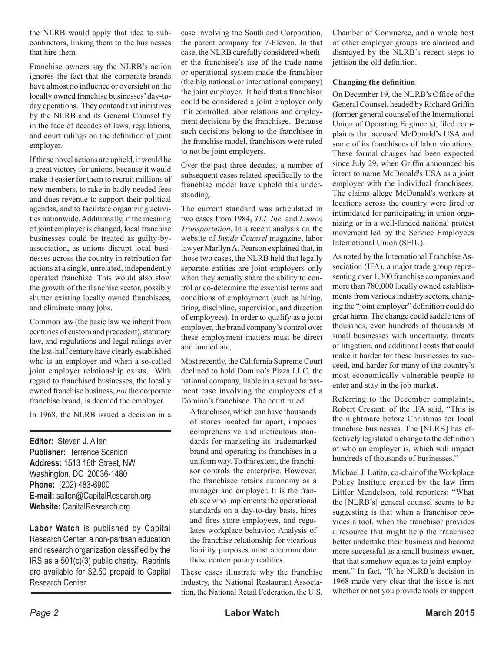the NLRB would apply that idea to subcontractors, linking them to the businesses that hire them.

Franchise owners say the NLRB's action ignores the fact that the corporate brands have almost no influence or oversight on the locally owned franchise businesses' day-today operations. They contend that initiatives by the NLRB and its General Counsel fly in the face of decades of laws, regulations, and court rulings on the definition of joint employer.

If those novel actions are upheld, it would be a great victory for unions, because it would make it easier for them to recruit millions of new members, to rake in badly needed fees and dues revenue to support their political agendas, and to facilitate organizing activities nationwide. Additionally, if the meaning of joint employer is changed, local franchise businesses could be treated as guilty-byassociation, as unions disrupt local businesses across the country in retribution for actions at a single, unrelated, independently operated franchise. This would also slow the growth of the franchise sector, possibly shutter existing locally owned franchisees, and eliminate many jobs.

Common law (the basic law we inherit from centuries of custom and precedent), statutory law, and regulations and legal rulings over the last-half century have clearly established who is an employer and when a so-called joint employer relationship exists. With regard to franchised businesses, the locally owned franchise business, *not* the corporate franchise brand, is deemed the employer.

In 1968, the NLRB issued a decision in a

**Editor:** Steven J. Allen **Publisher:** Terrence Scanlon **Address:** 1513 16th Street, NW Washington, DC 20036-1480 **Phone:** (202) 483-6900 **E-mail:** sallen@CapitalResearch.org **Website:** CapitalResearch.org

**Labor Watch** is published by Capital Research Center, a non-partisan education and research organization classified by the IRS as a 501(c)(3) public charity. Reprints are available for \$2.50 prepaid to Capital Research Center.

case involving the Southland Corporation, the parent company for 7-Eleven. In that case, the NLRB carefully considered whether the franchisee's use of the trade name or operational system made the franchisor (the big national or international company) the joint employer. It held that a franchisor could be considered a joint employer only if it controlled labor relations and employment decisions by the franchisee. Because such decisions belong to the franchisee in the franchise model, franchisors were ruled to not be joint employers.

Over the past three decades, a number of subsequent cases related specifically to the franchise model have upheld this understanding.

The current standard was articulated in two cases from 1984, *TLI, Inc.* and *Laerco Transportation*. In a recent analysis on the website of *Inside Counsel* magazine, labor lawyer Marilyn A. Pearson explained that, in those two cases, the NLRB held that legally separate entities are joint employers only when they actually share the ability to control or co-determine the essential terms and conditions of employment (such as hiring, firing, discipline, supervision, and direction of employees). In order to qualify as a joint employer, the brand company's control over these employment matters must be direct and immediate.

Most recently, the California Supreme Court declined to hold Domino's Pizza LLC, the national company, liable in a sexual harassment case involving the employees of a Domino's franchisee. The court ruled:

A franchisor, which can have thousands of stores located far apart, imposes comprehensive and meticulous standards for marketing its trademarked brand and operating its franchises in a uniform way. To this extent, the franchisor controls the enterprise. However, the franchisee retains autonomy as a manager and employer. It is the franchisee who implements the operational standards on a day-to-day basis, hires and fires store employees, and regulates workplace behavior. Analysis of the franchise relationship for vicarious liability purposes must accommodate these contemporary realities.

These cases illustrate why the franchise industry, the National Restaurant Association, the National Retail Federation, the U.S. Chamber of Commerce, and a whole host of other employer groups are alarmed and dismayed by the NLRB's recent steps to jettison the old definition.

#### **Changing the definition**

On December 19, the NLRB's Office of the General Counsel, headed by Richard Griffin (former general counsel of the International Union of Operating Engineers), filed complaints that accused McDonald's USA and some of its franchisees of labor violations. These formal charges had been expected since July 29, when Griffin announced his intent to name McDonald's USA as a joint employer with the individual franchisees. The claims allege McDonald's workers at locations across the country were fired or intimidated for participating in union organizing or in a well-funded national protest movement led by the Service Employees International Union (SEIU).

As noted by the International Franchise Association (IFA), a major trade group representing over 1,300 franchise companies and more than 780,000 locally owned establishments from various industry sectors, changing the "joint employer" definition could do great harm. The change could saddle tens of thousands, even hundreds of thousands of small businesses with uncertainty, threats of litigation, and additional costs that could make it harder for these businesses to succeed, and harder for many of the country's most economically vulnerable people to enter and stay in the job market.

Referring to the December complaints, Robert Cresanti of the IFA said, "This is the nightmare before Christmas for local franchise businesses. The [NLRB] has effectively legislated a change to the definition of who an employer is, which will impact hundreds of thousands of businesses."

Michael J. Lotito, co-chair of the Workplace Policy Institute created by the law firm Littler Mendelson, told reporters: "What the [NLRB's] general counsel seems to be suggesting is that when a franchisor provides a tool, when the franchisor provides a resource that might help the franchisee better undertake their business and become more successful as a small business owner, that that somehow equates to joint employment." In fact, "[t]he NLRB's decision in 1968 made very clear that the issue is not whether or not you provide tools or support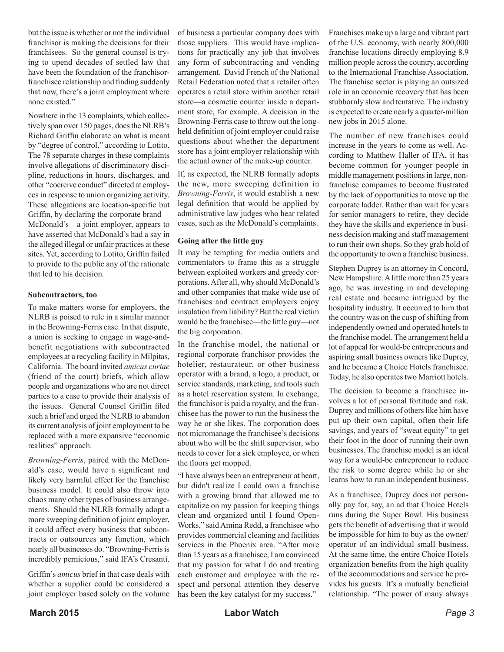but the issue is whether or not the individual franchisor is making the decisions for their franchisees. So the general counsel is trying to upend decades of settled law that have been the foundation of the franchisorfranchisee relationship and finding suddenly that now, there's a joint employment where none existed."

Nowhere in the 13 complaints, which collectively span over 150 pages, does the NLRB's Richard Griffin elaborate on what is meant by "degree of control," according to Lotito. The 78 separate charges in these complaints involve allegations of discriminatory discipline, reductions in hours, discharges, and other "coercive conduct" directed at employees in response to union organizing activity. These allegations are location-specific but Griffin, by declaring the corporate brand— McDonald's—a joint employer, appears to have asserted that McDonald's had a say in the alleged illegal or unfair practices at these sites. Yet, according to Lotito, Griffin failed to provide to the public any of the rationale that led to his decision.

#### **Subcontractors, too**

To make matters worse for employers, the NLRB is poised to rule in a similar manner in the Browning-Ferris case. In that dispute, a union is seeking to engage in wage-andbenefit negotiations with subcontracted employees at a recycling facility in Milpitas, California. The board invited *amicus curiae*  (friend of the court) briefs, which allow people and organizations who are not direct parties to a case to provide their analysis of the issues. General Counsel Griffin filed such a brief and urged the NLRB to abandon its current analysis of joint employment to be replaced with a more expansive "economic realities" approach.

*Browning-Ferris*, paired with the McDonald's case, would have a significant and likely very harmful effect for the franchise business model. It could also throw into chaos many other types of business arrangements. Should the NLRB formally adopt a more sweeping definition of joint employer, it could affect every business that subcontracts or outsources any function, which nearly all businesses do. "Browning-Ferris is incredibly pernicious," said IFA's Cresanti.

Griffin's *amicus* brief in that case deals with whether a supplier could be considered a joint employer based solely on the volume of business a particular company does with those suppliers. This would have implications for practically any job that involves any form of subcontracting and vending arrangement. David French of the National Retail Federation noted that a retailer often operates a retail store within another retail store—a cosmetic counter inside a department store, for example. A decision in the Browning-Ferris case to throw out the longheld definition of joint employer could raise questions about whether the department store has a joint employer relationship with the actual owner of the make-up counter.

If, as expected, the NLRB formally adopts the new, more sweeping definition in *Browning-Ferris*, it would establish a new legal definition that would be applied by administrative law judges who hear related cases, such as the McDonald's complaints.

#### **Going after the little guy**

It may be tempting for media outlets and commentators to frame this as a struggle between exploited workers and greedy corporations. After all, why should McDonald's and other companies that make wide use of franchises and contract employers enjoy insulation from liability? But the real victim would be the franchisee—the little guy—not the big corporation.

In the franchise model, the national or regional corporate franchisor provides the hotelier, restaurateur, or other business operator with a brand, a logo, a product, or service standards, marketing, and tools such as a hotel reservation system. In exchange, the franchisor is paid a royalty, and the franchisee has the power to run the business the way he or she likes. The corporation does not micromanage the franchisee's decisions about who will be the shift supervisor, who needs to cover for a sick employee, or when the floors get mopped.

"I have always been an entrepreneur at heart, but didn't realize I could own a franchise with a growing brand that allowed me to capitalize on my passion for keeping things clean and organized until I found Open-Works," said Amina Redd, a franchisee who provides commercial cleaning and facilities services in the Phoenix area. "After more than 15 years as a franchisee, I am convinced that my passion for what I do and treating each customer and employee with the respect and personal attention they deserve has been the key catalyst for my success."

Franchises make up a large and vibrant part of the U.S. economy, with nearly 800,000 franchise locations directly employing 8.9 million people across the country, according to the International Franchise Association. The franchise sector is playing an outsized role in an economic recovery that has been stubbornly slow and tentative. The industry is expected to create nearly a quarter-million new jobs in 2015 alone.

The number of new franchises could increase in the years to come as well. According to Matthew Haller of IFA, it has become common for younger people in middle management positions in large, nonfranchise companies to become frustrated by the lack of opportunities to move up the corporate ladder. Rather than wait for years for senior managers to retire, they decide they have the skills and experience in business decision making and staff management to run their own shops. So they grab hold of the opportunity to own a franchise business.

Stephen Duprey is an attorney in Concord, New Hampshire. A little more than 25 years ago, he was investing in and developing real estate and became intrigued by the hospitality industry. It occurred to him that the country was on the cusp of shifting from independently owned and operated hotels to the franchise model. The arrangement held a lot of appeal for would-be entrepreneurs and aspiring small business owners like Duprey, and he became a Choice Hotels franchisee. Today, he also operates two Marriott hotels.

The decision to become a franchisee involves a lot of personal fortitude and risk. Duprey and millions of others like him have put up their own capital, often their life savings, and years of "sweat equity" to get their foot in the door of running their own businesses. The franchise model is an ideal way for a would-be entrepreneur to reduce the risk to some degree while he or she learns how to run an independent business.

As a franchisee, Duprey does not personally pay for, say, an ad that Choice Hotels runs during the Super Bowl. His business gets the benefit of advertising that it would be impossible for him to buy as the owner/ operator of an individual small business. At the same time, the entire Choice Hotels organization benefits from the high quality of the accommodations and service he provides his guests. It's a mutually beneficial relationship. "The power of many always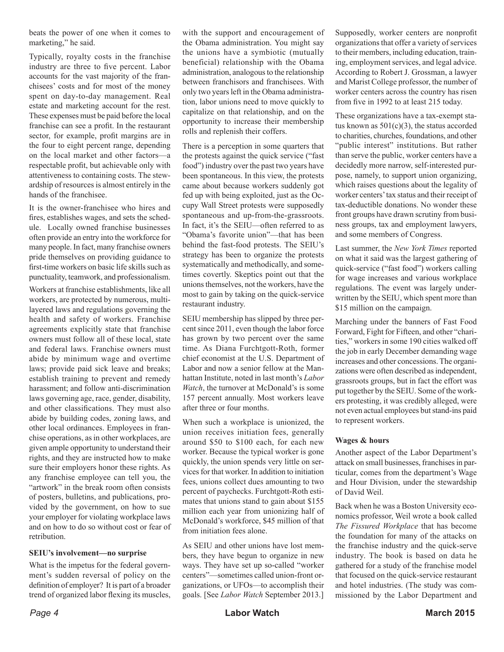beats the power of one when it comes to marketing," he said.

Typically, royalty costs in the franchise industry are three to five percent. Labor accounts for the vast majority of the franchisees' costs and for most of the money spent on day-to-day management. Real estate and marketing account for the rest. These expenses must be paid before the local franchise can see a profit. In the restaurant sector, for example, profit margins are in the four to eight percent range, depending on the local market and other factors—a respectable profit, but achievable only with attentiveness to containing costs. The stewardship of resources is almost entirely in the hands of the franchisee.

It is the owner-franchisee who hires and fires, establishes wages, and sets the schedule. Locally owned franchise businesses often provide an entry into the workforce for many people. In fact, many franchise owners pride themselves on providing guidance to first-time workers on basic life skills such as punctuality, teamwork, and professionalism.

Workers at franchise establishments, like all workers, are protected by numerous, multilayered laws and regulations governing the health and safety of workers. Franchise agreements explicitly state that franchise owners must follow all of these local, state and federal laws. Franchise owners must abide by minimum wage and overtime laws; provide paid sick leave and breaks; establish training to prevent and remedy harassment; and follow anti-discrimination laws governing age, race, gender, disability, and other classifications. They must also abide by building codes, zoning laws, and other local ordinances. Employees in franchise operations, as in other workplaces, are given ample opportunity to understand their rights, and they are instructed how to make sure their employers honor these rights. As any franchise employee can tell you, the "artwork" in the break room often consists of posters, bulletins, and publications, provided by the government, on how to sue your employer for violating workplace laws and on how to do so without cost or fear of retribution.

#### **SEIU's involvement—no surprise**

What is the impetus for the federal government's sudden reversal of policy on the definition of employer? It is part of a broader trend of organized labor flexing its muscles, with the support and encouragement of the Obama administration. You might say the unions have a symbiotic (mutually beneficial) relationship with the Obama administration, analogous to the relationship between franchisors and franchisees. With only two years left in the Obama administration, labor unions need to move quickly to capitalize on that relationship, and on the opportunity to increase their membership rolls and replenish their coffers.

There is a perception in some quarters that the protests against the quick service ("fast food") industry over the past two years have been spontaneous. In this view, the protests came about because workers suddenly got fed up with being exploited, just as the Occupy Wall Street protests were supposedly spontaneous and up-from-the-grassroots. In fact, it's the SEIU—often referred to as "Obama's favorite union"—that has been behind the fast-food protests. The SEIU's strategy has been to organize the protests systematically and methodically, and sometimes covertly. Skeptics point out that the unions themselves, not the workers, have the most to gain by taking on the quick-service restaurant industry.

SEIU membership has slipped by three percent since 2011, even though the labor force has grown by two percent over the same time. As Diana Furchtgott-Roth, former chief economist at the U.S. Department of Labor and now a senior fellow at the Manhattan Institute, noted in last month's *Labor Watch*, the turnover at McDonald's is some 157 percent annually. Most workers leave after three or four months.

When such a workplace is unionized, the union receives initiation fees, generally around \$50 to \$100 each, for each new worker. Because the typical worker is gone quickly, the union spends very little on services for that worker. In addition to initiation fees, unions collect dues amounting to two percent of paychecks. Furchtgott-Roth estimates that unions stand to gain about \$155 million each year from unionizing half of McDonald's workforce, \$45 million of that from initiation fees alone.

As SEIU and other unions have lost members, they have begun to organize in new ways. They have set up so-called "worker centers"—sometimes called union-front organizations, or UFOs—to accomplish their goals. [See *Labor Watch* September 2013.]

Supposedly, worker centers are nonprofit organizations that offer a variety of services to their members, including education, training, employment services, and legal advice. According to Robert J. Grossman, a lawyer and Marist College professor, the number of worker centers across the country has risen from five in 1992 to at least 215 today.

These organizations have a tax-exempt status known as  $501(c)(3)$ , the status accorded to charities, churches, foundations, and other "public interest" institutions. But rather than serve the public, worker centers have a decidedly more narrow, self-interested purpose, namely, to support union organizing, which raises questions about the legality of worker centers' tax status and their receipt of tax-deductible donations. No wonder these front groups have drawn scrutiny from business groups, tax and employment lawyers, and some members of Congress.

Last summer, the *New York Times* reported on what it said was the largest gathering of quick-service ("fast food") workers calling for wage increases and various workplace regulations. The event was largely underwritten by the SEIU, which spent more than \$15 million on the campaign.

Marching under the banners of Fast Food Forward, Fight for Fifteen, and other "charities," workers in some 190 cities walked off the job in early December demanding wage increases and other concessions. The organizations were often described as independent, grassroots groups, but in fact the effort was put together by the SEIU. Some of the workers protesting, it was credibly alleged, were not even actual employees but stand-ins paid to represent workers.

#### **Wages & hours**

Another aspect of the Labor Department's attack on small businesses, franchises in particular, comes from the department's Wage and Hour Division, under the stewardship of David Weil.

Back when he was a Boston University economics professor, Weil wrote a book called *The Fissured Workplace* that has become the foundation for many of the attacks on the franchise industry and the quick-serve industry. The book is based on data he gathered for a study of the franchise model that focused on the quick-service restaurant and hotel industries. (The study was commissioned by the Labor Department and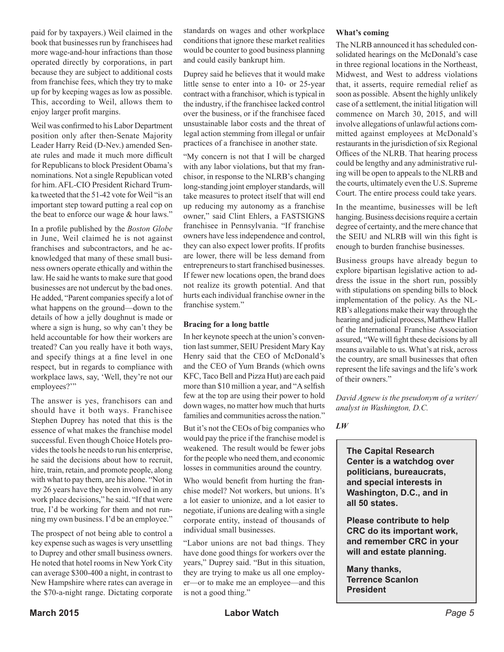paid for by taxpayers.) Weil claimed in the book that businesses run by franchisees had more wage-and-hour infractions than those operated directly by corporations, in part because they are subject to additional costs from franchise fees, which they try to make up for by keeping wages as low as possible. This, according to Weil, allows them to enjoy larger profit margins.

Weil was confirmed to his Labor Department position only after then-Senate Majority Leader Harry Reid (D-Nev.) amended Senate rules and made it much more difficult for Republicans to block President Obama's nominations. Not a single Republican voted for him. AFL-CIO President Richard Trumka tweeted that the 51-42 vote for Weil "is an important step toward putting a real cop on the beat to enforce our wage & hour laws."

In a profile published by the *Boston Globe* in June, Weil claimed he is not against franchises and subcontractors, and he acknowledged that many of these small business owners operate ethically and within the law. He said he wants to make sure that good businesses are not undercut by the bad ones. He added, "Parent companies specify a lot of what happens on the ground—down to the details of how a jelly doughnut is made or where a sign is hung, so why can't they be held accountable for how their workers are treated? Can you really have it both ways, and specify things at a fine level in one respect, but in regards to compliance with workplace laws, say, 'Well, they're not our employees?"

The answer is yes, franchisors can and should have it both ways. Franchisee Stephen Duprey has noted that this is the essence of what makes the franchise model successful. Even though Choice Hotels provides the tools he needs to run his enterprise, he said the decisions about how to recruit, hire, train, retain, and promote people, along with what to pay them, are his alone. "Not in my 26 years have they been involved in any work place decisions," he said. "If that were true, I'd be working for them and not running my own business. I'd be an employee."

The prospect of not being able to control a key expense such as wages is very unsettling to Duprey and other small business owners. He noted that hotel rooms in New York City can average \$300-400 a night, in contrast to New Hampshire where rates can average in the \$70-a-night range. Dictating corporate standards on wages and other workplace conditions that ignore these market realities would be counter to good business planning and could easily bankrupt him.

Duprey said he believes that it would make little sense to enter into a 10- or 25-year contract with a franchisor, which is typical in the industry, if the franchisee lacked control over the business, or if the franchisee faced unsustainable labor costs and the threat of legal action stemming from illegal or unfair practices of a franchisee in another state.

"My concern is not that I will be charged with any labor violations, but that my franchisor, in response to the NLRB's changing long-standing joint employer standards, will take measures to protect itself that will end up reducing my autonomy as a franchise owner," said Clint Ehlers, a FASTSIGNS franchisee in Pennsylvania. "If franchise owners have less independence and control, they can also expect lower profits. If profits are lower, there will be less demand from entrepreneurs to start franchised businesses. If fewer new locations open, the brand does not realize its growth potential. And that hurts each individual franchise owner in the franchise system."

#### **Bracing for a long battle**

In her keynote speech at the union's convention last summer, SEIU President Mary Kay Henry said that the CEO of McDonald's and the CEO of Yum Brands (which owns KFC, Taco Bell and Pizza Hut) are each paid more than \$10 million a year, and "A selfish few at the top are using their power to hold down wages, no matter how much that hurts families and communities across the nation."

But it's not the CEOs of big companies who would pay the price if the franchise model is weakened. The result would be fewer jobs for the people who need them, and economic losses in communities around the country.

Who would benefit from hurting the franchise model? Not workers, but unions. It's a lot easier to unionize, and a lot easier to negotiate, if unions are dealing with a single corporate entity, instead of thousands of individual small businesses.

"Labor unions are not bad things. They have done good things for workers over the years," Duprey said. "But in this situation, they are trying to make us all one employer—or to make me an employee—and this is not a good thing."

#### **What's coming**

The NLRB announced it has scheduled consolidated hearings on the McDonald's case in three regional locations in the Northeast, Midwest, and West to address violations that, it asserts, require remedial relief as soon as possible. Absent the highly unlikely case of a settlement, the initial litigation will commence on March 30, 2015, and will involve allegations of unlawful actions committed against employees at McDonald's restaurants in the jurisdiction of six Regional Offices of the NLRB. That hearing process could be lengthy and any administrative ruling will be open to appeals to the NLRB and the courts, ultimately even the U.S. Supreme Court. The entire process could take years.

In the meantime, businesses will be left hanging. Business decisions require a certain degree of certainty, and the mere chance that the SEIU and NLRB will win this fight is enough to burden franchise businesses.

Business groups have already begun to explore bipartisan legislative action to address the issue in the short run, possibly with stipulations on spending bills to block implementation of the policy. As the NL-RB's allegations make their way through the hearing and judicial process, Matthew Haller of the International Franchise Association assured, "We will fight these decisions by all means available to us. What's at risk, across the country, are small businesses that often represent the life savings and the life's work of their owners."

*David Agnew is the pseudonym of a writer/ analyst in Washington, D.C.*

*LW* 

**The Capital Research Center is a watchdog over politicians, bureaucrats, and special interests in Washington, D.C., and in all 50 states.** 

**Please contribute to help CRC do its important work, and remember CRC in your will and estate planning.**

**Many thanks, Terrence Scanlon President**